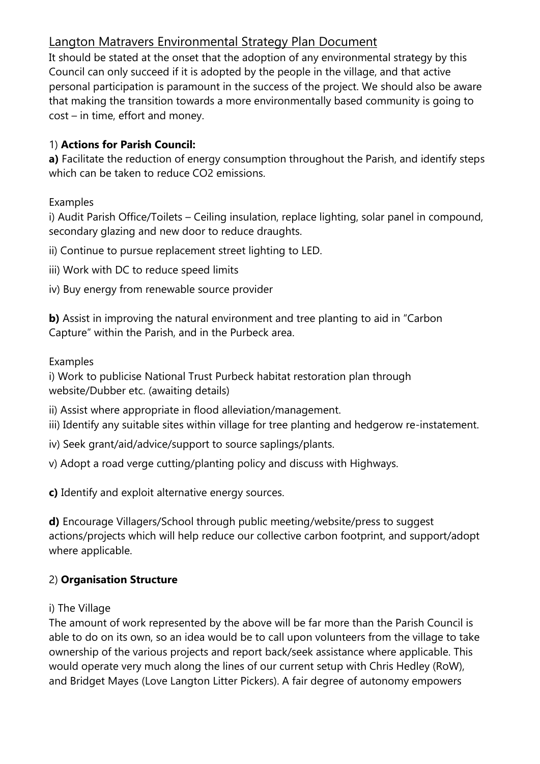# Langton Matravers Environmental Strategy Plan Document

It should be stated at the onset that the adoption of any environmental strategy by this Council can only succeed if it is adopted by the people in the village, and that active personal participation is paramount in the success of the project. We should also be aware that making the transition towards a more environmentally based community is going to cost – in time, effort and money.

### 1) **Actions for Parish Council:**

**a)** Facilitate the reduction of energy consumption throughout the Parish, and identify steps which can be taken to reduce CO2 emissions.

#### Examples

i) Audit Parish Office/Toilets – Ceiling insulation, replace lighting, solar panel in compound, secondary glazing and new door to reduce draughts.

ii) Continue to pursue replacement street lighting to LED.

- iii) Work with DC to reduce speed limits
- iv) Buy energy from renewable source provider

**b)** Assist in improving the natural environment and tree planting to aid in "Carbon Capture" within the Parish, and in the Purbeck area.

Examples

i) Work to publicise National Trust Purbeck habitat restoration plan through website/Dubber etc. (awaiting details)

ii) Assist where appropriate in flood alleviation/management.

iii) Identify any suitable sites within village for tree planting and hedgerow re-instatement.

iv) Seek grant/aid/advice/support to source saplings/plants.

v) Adopt a road verge cutting/planting policy and discuss with Highways.

**c)** Identify and exploit alternative energy sources.

**d)** Encourage Villagers/School through public meeting/website/press to suggest actions/projects which will help reduce our collective carbon footprint, and support/adopt where applicable.

### 2) **Organisation Structure**

#### i) The Village

The amount of work represented by the above will be far more than the Parish Council is able to do on its own, so an idea would be to call upon volunteers from the village to take ownership of the various projects and report back/seek assistance where applicable. This would operate very much along the lines of our current setup with Chris Hedley (RoW), and Bridget Mayes (Love Langton Litter Pickers). A fair degree of autonomy empowers